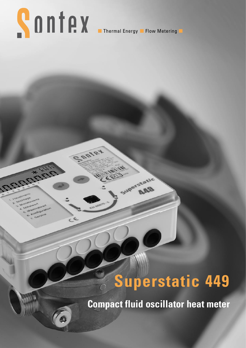# **SONTAX Experimed Energy II Flow Metering**

nte

uperstatic

## **Superstatic 449**

**Compact fluid oscillator heat meter**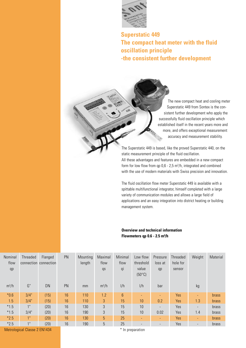

**Superstatic 449 The compact heat meter with the fluid oscillation principle -the consistent further development**

> The new compact heat and cooling meter Superstatic 449 from Sontex is the con sistent further development who apply the successfully fluid oscillation principle which established itself in the recent years more and more, and offers exceptional measurement accuracy and measurement stability.

The Superstatic 449 is based, like the proved Superstatic 440, on the static measurement principle of the fluid oscillation. All these advantages and features are embedded in a new compact form for low flow from  $qp 0.6 - 2.5 m<sup>3</sup>/h$ , integrated and combined with the use of modern materials with Swiss precision and innovation.

The fluid oscillation flow meter Superstatic 449 is available with a spittable multifunctional integrator, himself completed with a large variety of communication modules and allows a large field of applications and an easy integration into district heating or building management system.

#### **Overview and technical information Flowmeters qp 0.6 - 2.5 m³/h**

| Nominal<br>flow | Threaded        | Flanged<br>connection connection | PN | Mounting<br>length | Maximal<br>flow | Minimal<br>flow | Low flow<br>threshold    | Pressure<br>loss at      | Threaded<br>hole for | Weight                   | Material     |
|-----------------|-----------------|----------------------------------|----|--------------------|-----------------|-----------------|--------------------------|--------------------------|----------------------|--------------------------|--------------|
| qp              |                 |                                  |    |                    | qs              | qi              | value<br>$(50^{\circ}C)$ | qp                       | sensor               |                          |              |
| $m^3/h$         | G"              | DN                               | PN | mm                 | $m^3/h$         | 1/h             | 1/h                      | bar                      |                      | kg                       |              |
| $*0.6$          | 3/4"            | (15)                             | 16 | 110                | 1.2             | $6\phantom{.}$  | <b>-</b>                 |                          | Yes                  | $\blacksquare$           | brass        |
| 1.5             | 3/4"            | (15)                             | 16 | 110                | $\overline{3}$  | 15              | 10                       | 0.2                      | Yes                  | 1.3                      | <b>brass</b> |
| $*1.5$          | 1"              | (20)                             | 16 | 130                | 3               | 15              | 10                       | $\overline{\phantom{0}}$ | Yes                  | $\overline{\phantom{a}}$ | brass        |
| $*1.5$          | 3/4"            | (20)                             | 16 | 190                | $\sqrt{3}$      | 15              | 10                       | 0.02                     | Yes                  | 1.4                      | brass        |
| $*2.5$          | 1"              | (20)                             | 16 | 130                | 5               | 25              | ÷.                       | ٠                        | Yes                  | $\blacksquare$           | <b>brass</b> |
| $*2.5$          | 1 <sup>11</sup> | (20)                             | 16 | 190                | 5               | 25              |                          |                          | Yes                  | $\overline{\phantom{a}}$ | brass        |

Metrological Classe 2 EN1434 and Table 1 and Table 1 and Table 1 and Table 1 and Table 1 and Table 1 and Table 1 and Table 1 and Table 1 and Table 1 and Table 1 and Table 1 and Table 1 and Table 1 and Table 1 and Table 1 a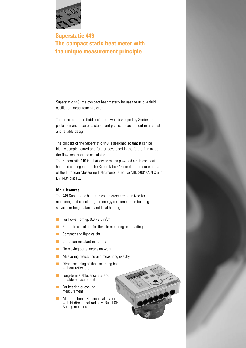

### **Superstatic 449 The compact static heat meter with the unique measurement principle**

Superstatic 449- the compact heat meter who use the unique fluid oscillation measurement system.

The principle of the fluid oscillation was developed by Sontex to its perfection and ensures a stable and precise measurement in a robust and reliable design.

The concept of the Superstatic 449 is designed so that it can be ideally complemented and further developed in the future, it may be the flow sensor or the calculator.

The Superstatic 449 is a battery or mains-powered static compact heat and cooling meter. The Superstatic 449 meets the requirements of the European Measuring Instruments Directive MID 2004/22/EC and EN 1434 class 2.

#### **Main features**

The 449 Superstatic heat-and cold meters are optimized for measuring and calculating the energy consumption in building services or long-distance and local heating.

- For flows from qp  $0.6 2.5$  m<sup>3</sup>/h
- **n** Spittable calculator for flexible mounting and reading
- **n** Compact and lightweight
- **n** Corrosion-resistant materials
- $\blacksquare$  No moving parts means no wear
- $\blacksquare$  Measuring resistance and measuring exactly
- $\blacksquare$  Direct scanning of the oscillating beam without reflectors
- **n** Long-term stable, accurate and reliable measurement
- $\blacksquare$  For heating or cooling measurement
- n Multifunctional Supercal calculator with bi-directional radio, M-Bus, LON, Analog modules, etc.